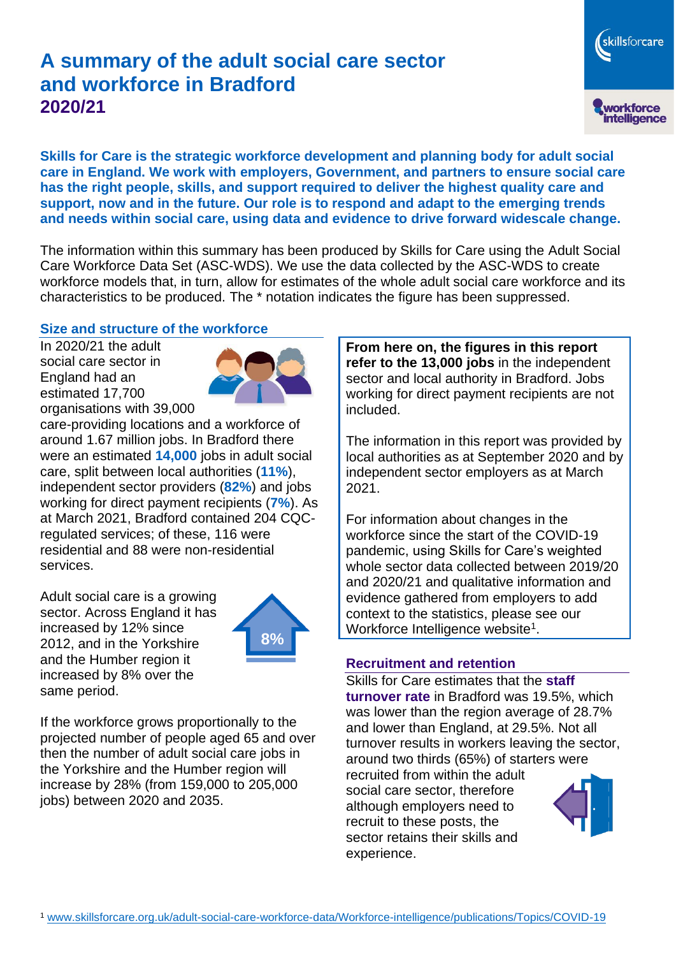# **A summary of the adult social care sector and workforce in Bradford 2020/21**

workforce<br>intelligence

skillsforcare

**Skills for Care is the strategic workforce development and planning body for adult social care in England. We work with employers, Government, and partners to ensure social care has the right people, skills, and support required to deliver the highest quality care and support, now and in the future. Our role is to respond and adapt to the emerging trends and needs within social care, using data and evidence to drive forward widescale change.**

The information within this summary has been produced by Skills for Care using the Adult Social Care Workforce Data Set (ASC-WDS). We use the data collected by the ASC-WDS to create workforce models that, in turn, allow for estimates of the whole adult social care workforce and its characteristics to be produced. The \* notation indicates the figure has been suppressed.

### **Size and structure of the workforce**

In 2020/21 the adult social care sector in England had an estimated 17,700 organisations with 39,000



care-providing locations and a workforce of around 1.67 million jobs. In Bradford there were an estimated **14,000** jobs in adult social care, split between local authorities (**11%**), independent sector providers (**82%**) and jobs working for direct payment recipients (**7%**). As at March 2021, Bradford contained 204 CQCregulated services; of these, 116 were residential and 88 were non-residential services.

Adult social care is a growing sector. Across England it has increased by 12% since 2012, and in the Yorkshire and the Humber region it increased by 8% over the same period.



If the workforce grows proportionally to the projected number of people aged 65 and over then the number of adult social care jobs in the Yorkshire and the Humber region will increase by 28% (from 159,000 to 205,000 jobs) between 2020 and 2035.

**From here on, the figures in this report refer to the 13,000 jobs** in the independent sector and local authority in Bradford. Jobs working for direct payment recipients are not included.

The information in this report was provided by local authorities as at September 2020 and by independent sector employers as at March 2021.

For information about changes in the workforce since the start of the COVID-19 pandemic, using Skills for Care's weighted whole sector data collected between 2019/20 and 2020/21 and qualitative information and evidence gathered from employers to add context to the statistics, please see our Workforce Intelligence website<sup>1</sup>.

#### **Recruitment and retention**

Skills for Care estimates that the **staff turnover rate** in Bradford was 19.5%, which was lower than the region average of 28.7% and lower than England, at 29.5%. Not all turnover results in workers leaving the sector, around two thirds (65%) of starters were recruited from within the adult social care sector, therefore although employers need to recruit to these posts, the sector retains their skills and experience.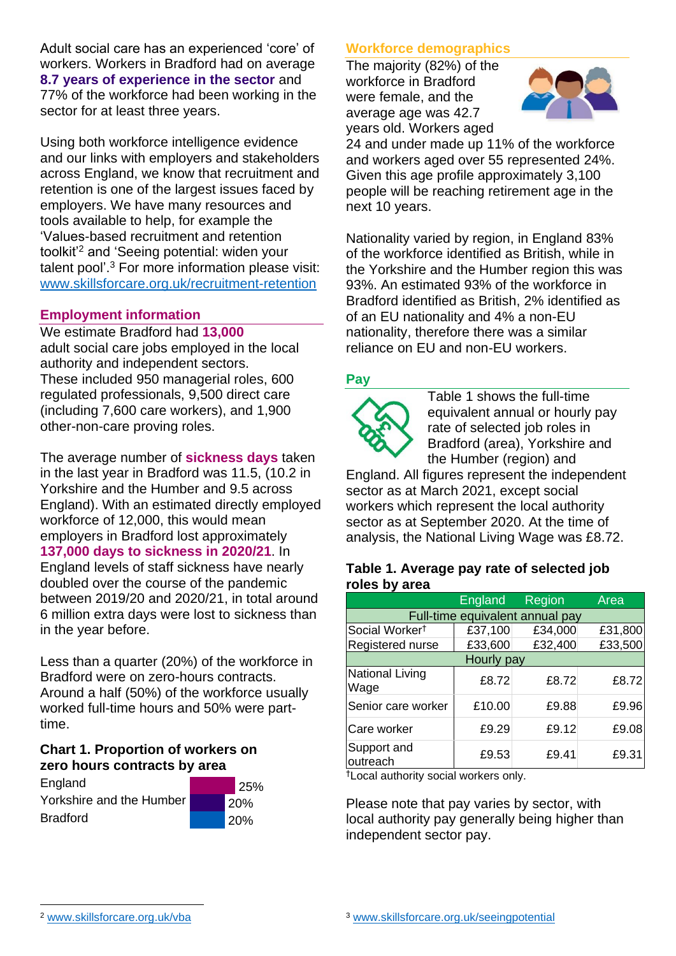Adult social care has an experienced 'core' of workers. Workers in Bradford had on average **8.7 years of experience in the sector** and 77% of the workforce had been working in the sector for at least three years.

Using both workforce intelligence evidence and our links with employers and stakeholders across England, we know that recruitment and retention is one of the largest issues faced by employers. We have many resources and tools available to help, for example the 'Values-based recruitment and retention toolkit'<sup>2</sup> and 'Seeing potential: widen your talent pool'. <sup>3</sup> For more information please visit: [www.skillsforcare.org.uk/recruitment-retention](http://www.skillsforcare.org.uk/recruitment-retention)

#### **Employment information**

We estimate Bradford had **13,000** adult social care jobs employed in the local authority and independent sectors. These included 950 managerial roles, 600 regulated professionals, 9,500 direct care (including 7,600 care workers), and 1,900 other-non-care proving roles.

The average number of **sickness days** taken in the last year in Bradford was 11.5, (10.2 in Yorkshire and the Humber and 9.5 across England). With an estimated directly employed workforce of 12,000, this would mean employers in Bradford lost approximately **137,000 days to sickness in 2020/21**. In England levels of staff sickness have nearly doubled over the course of the pandemic between 2019/20 and 2020/21, in total around 6 million extra days were lost to sickness than in the year before.

Less than a quarter (20%) of the workforce in Bradford were on zero-hours contracts. Around a half (50%) of the workforce usually worked full-time hours and 50% were parttime.

### **Chart 1. Proportion of workers on zero hours contracts by area**

| England                  | 25%        |
|--------------------------|------------|
| Yorkshire and the Humber | <b>20%</b> |
| <b>Bradford</b>          | 120%       |

## **Workforce demographics**

The majority (82%) of the workforce in Bradford were female, and the average age was 42.7 years old. Workers aged



24 and under made up 11% of the workforce and workers aged over 55 represented 24%. Given this age profile approximately 3,100 people will be reaching retirement age in the next 10 years.

Nationality varied by region, in England 83% of the workforce identified as British, while in the Yorkshire and the Humber region this was 93%. An estimated 93% of the workforce in Bradford identified as British, 2% identified as of an EU nationality and 4% a non-EU nationality, therefore there was a similar reliance on EU and non-EU workers.

## **Pay**



Table 1 shows the full-time equivalent annual or hourly pay rate of selected job roles in Bradford (area), Yorkshire and the Humber (region) and

England. All figures represent the independent sector as at March 2021, except social workers which represent the local authority sector as at September 2020. At the time of analysis, the National Living Wage was £8.72.

#### **Table 1. Average pay rate of selected job roles by area**

|                                 | <b>England</b> | Region  | Area    |
|---------------------------------|----------------|---------|---------|
| Full-time equivalent annual pay |                |         |         |
| Social Worker <sup>t</sup>      | £37,100        | £34,000 | £31,800 |
| Registered nurse                | £33,600        | £32,400 | £33,500 |
| Hourly pay                      |                |         |         |
| National Living<br>Wage         | £8.72          | £8.72   | £8.72   |
| Senior care worker              | £10.00         | £9.88   | £9.96   |
| Care worker                     | £9.29          | £9.12   | £9.08   |
| Support and<br>outreach         | £9.53          | £9.41   | £9.31   |

†Local authority social workers only.

Please note that pay varies by sector, with local authority pay generally being higher than independent sector pay.

<sup>2</sup> [www.skillsforcare.org.uk/vba](http://www.skillsforcare.org.uk/vba)